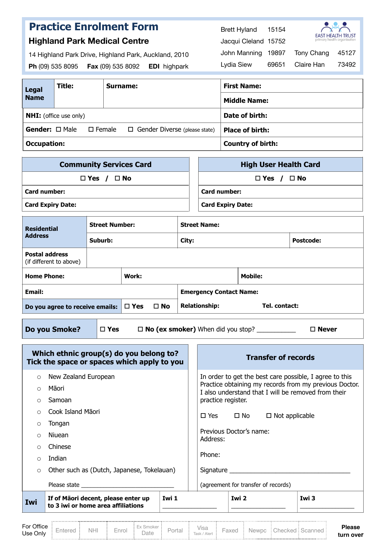|                      | <b>Highland Park Medical Centre</b> | <b>Practice Enrolment Form</b>                                                                    | 15154<br><b>Brett Hyland</b><br><b>EAST HEALTH TRUST</b><br>primary health organisation<br>Jacqui Cleland 15752 |
|----------------------|-------------------------------------|---------------------------------------------------------------------------------------------------|-----------------------------------------------------------------------------------------------------------------|
| Ph (09) 535 8095     |                                     | 14 Highland Park Drive, Highland Park, Auckland, 2010<br>Fax (09) 535 8092<br><b>EDI</b> highpark | <b>Tony Chang</b><br>19897<br>45127<br>John Manning<br>73492<br>69651<br>Claire Han<br>Lydia Siew               |
| Legal<br><b>Name</b> | Title:                              | Surname:                                                                                          | <b>First Name:</b><br><b>Middle Name:</b>                                                                       |
|                      | <b>NHI:</b> (office use only)       |                                                                                                   | Date of birth:                                                                                                  |

**Occupation: Country of birth:**

| <b>Community Services Card</b> | <b>High User Health Card</b> |
|--------------------------------|------------------------------|
| $\Box$ Yes / $\Box$ No         | $\Box$ Yes / $\Box$ No       |
| Card number:                   | <b>Card number:</b>          |
| <b>Card Expiry Date:</b>       | <b>Card Expiry Date:</b>     |

**Gender:** □ Male □ Female □ Gender Diverse (please state) **Place of birth:** 

| <b>Residential</b>                               | <b>Street Number:</b> |              |                      | <b>Street Name:</b>            |                |                  |  |  |
|--------------------------------------------------|-----------------------|--------------|----------------------|--------------------------------|----------------|------------------|--|--|
| <b>Address</b>                                   | Suburb:               |              |                      | City:                          |                | <b>Postcode:</b> |  |  |
| <b>Postal address</b><br>(if different to above) |                       |              |                      |                                |                |                  |  |  |
| <b>Home Phone:</b>                               |                       | Work:        |                      |                                | <b>Mobile:</b> |                  |  |  |
| Email:                                           |                       |              |                      | <b>Emergency Contact Name:</b> |                |                  |  |  |
| Do you agree to receive emails: $\Box$ Yes       |                       | $\square$ No | <b>Relationship:</b> | Tel. contact:                  |                |                  |  |  |
|                                                  |                       |              |                      |                                |                |                  |  |  |

**Do you Smoke?**  $\boxed{\Box Y$ es  $\Box \textbf{No}$  (ex smoker) When did you stop? \_\_\_\_\_\_\_\_\_\_  $\Box$  Never

|            | Which ethnic group(s) do you belong to?<br>Tick the space or spaces which apply to you                          |             |                    |                         | <b>Transfer of records</b>                          |                                                                                                               |
|------------|-----------------------------------------------------------------------------------------------------------------|-------------|--------------------|-------------------------|-----------------------------------------------------|---------------------------------------------------------------------------------------------------------------|
| $\circ$    | New Zealand European                                                                                            |             |                    |                         |                                                     | In order to get the best care possible, I agree to this                                                       |
| $\bigcirc$ | Māori                                                                                                           |             |                    |                         |                                                     | Practice obtaining my records from my previous Doctor.<br>I also understand that I will be removed from their |
| $\circ$    | Samoan                                                                                                          |             | practice register. |                         |                                                     |                                                                                                               |
| $\bigcirc$ | Cook Island Maori                                                                                               |             |                    |                         | $\square$ Yes $\square$ No $\square$ Not applicable |                                                                                                               |
| $\circ$    | Tongan                                                                                                          |             |                    |                         |                                                     |                                                                                                               |
| $\bigcap$  | Niuean                                                                                                          |             | Address:           | Previous Doctor's name: |                                                     |                                                                                                               |
| $\bigcirc$ | Chinese                                                                                                         |             |                    |                         |                                                     |                                                                                                               |
| $\bigcap$  | Indian                                                                                                          |             | Phone:             |                         |                                                     |                                                                                                               |
| $\circ$    | Other such as (Dutch, Japanese, Tokelauan)                                                                      |             |                    |                         |                                                     |                                                                                                               |
|            | Please state and the property of the property of the property of the property of the property of the property o |             |                    |                         | (agreement for transfer of records)                 |                                                                                                               |
| Iwi        | If of Maori decent, please enter up<br>to 3 iwi or home area affiliations                                       | <b>Iwi1</b> |                    | <b>Iwi 2</b>            |                                                     | <b>Iwi3</b>                                                                                                   |

|            |  |   | $\overline{\phantom{a}}$<br><b>COL 14</b> |  | $\sqrt{2}$ |  |   | 'ıease |
|------------|--|---|-------------------------------------------|--|------------|--|---|--------|
| ' Ise Onlv |  | . |                                           |  |            |  | . | ı over |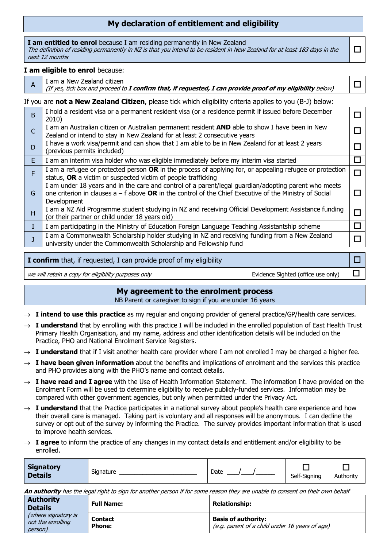# **My declaration of entitlement and eligibility**

 $\Box$ 

**I am entitled to enrol** because I am residing permanently in New Zealand The definition of residing permanently in NZ is that you intend to be resident in New Zealand for at least 183 days in the next 12 months

#### **I am eligible to enrol** because:

I

- $A \mid I$  am a New Zealand citizen
	- (If yes, tick box and proceed to **I confirm that, if requested, I can provide proof of my eligibility** below) !

### If you are **not a New Zealand Citizen**, please tick which eligibility criteria applies to you (B-J) below:

| B  | I hold a resident visa or a permanent resident visa (or a residence permit if issued before December<br>2010)                                                                                                                  |        |  |
|----|--------------------------------------------------------------------------------------------------------------------------------------------------------------------------------------------------------------------------------|--------|--|
|    | I am an Australian citizen or Australian permanent resident AND able to show I have been in New<br>Zealand or intend to stay in New Zealand for at least 2 consecutive years                                                   |        |  |
|    | have a work visa/permit and can show that I am able to be in New Zealand for at least 2 years<br>(previous permits included)                                                                                                   |        |  |
| E. | am an interim visa holder who was eligible immediately before my interim visa started                                                                                                                                          | ப      |  |
|    | am a refugee or protected person OR in the process of applying for, or appealing refugee or protection<br>status, OR a victim or suspected victim of people trafficking                                                        | $\Box$ |  |
| G  | am under 18 years and in the care and control of a parent/legal guardian/adopting parent who meets<br>one criterion in clauses $a - f$ above OR in the control of the Chief Executive of the Ministry of Social<br>Development | $\Box$ |  |
| н  | am a NZ Aid Programme student studying in NZ and receiving Official Development Assistance funding<br>(or their partner or child under 18 years old)                                                                           | □      |  |
|    | am participating in the Ministry of Education Foreign Language Teaching Assistantship scheme                                                                                                                                   | $\Box$ |  |
|    | am a Commonwealth Scholarship holder studying in NZ and receiving funding from a New Zealand<br>university under the Commonwealth Scholarship and Fellowship fund                                                              | $\Box$ |  |

| <b>I confirm</b> that, if requested, I can provide proof of my eligibility |                                    |  |
|----------------------------------------------------------------------------|------------------------------------|--|
| we will retain a copy for eligibility purposes only                        | Evidence Sighted (office use only) |  |

## **My agreement to the enrolment process**

NB Parent or caregiver to sign if you are under 16 years

- $\rightarrow$  **I intend to use this practice** as my regular and ongoing provider of general practice/GP/health care services.
- $\rightarrow$  **I understand** that by enrolling with this practice I will be included in the enrolled population of East Health Trust Primary Health Organisation, and my name, address and other identification details will be included on the Practice, PHO and National Enrolment Service Registers.
- $\rightarrow$  **I understand** that if I visit another health care provider where I am not enrolled I may be charged a higher fee.
- $\rightarrow$  **I have been given information** about the benefits and implications of enrolment and the services this practice and PHO provides along with the PHO's name and contact details.
- $\rightarrow$  **I have read and I agree** with the Use of Health Information Statement. The information I have provided on the Enrolment Form will be used to determine eligibility to receive publicly-funded services. Information may be compared with other government agencies, but only when permitted under the Privacy Act.
- $\rightarrow$  **I understand** that the Practice participates in a national survey about people's health care experience and how their overall care is managed. Taking part is voluntary and all responses will be anonymous. I can decline the survey or opt out of the survey by informing the Practice. The survey provides important information that is used to improve health services.
- $\rightarrow$  **I agree** to inform the practice of any changes in my contact details and entitlement and/or eligibility to be enrolled.

| Authority    |
|--------------|
| Self-Signing |

**An authority** has the legal right to sign for another person if for some reason they are unable to consent on their own behalf

| <b>Authority</b><br><b>Details</b>                  | <b>Full Name:</b>               | <b>Relationship:</b>                                                         |
|-----------------------------------------------------|---------------------------------|------------------------------------------------------------------------------|
| (where signatory is<br>not the enrolling<br>person) | <b>Contact</b><br><b>Phone:</b> | <b>Basis of authority:</b><br>(e.g. parent of a child under 16 years of age) |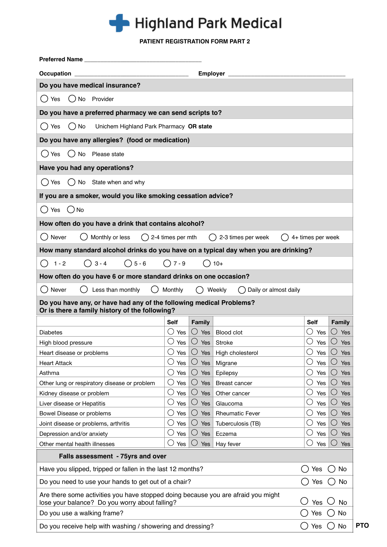

## **PATIENT REGISTRATION FORM PART 2**

| <b>Occupation</b>                                                                                                     |                   | Employer          |                        |                   |                   |
|-----------------------------------------------------------------------------------------------------------------------|-------------------|-------------------|------------------------|-------------------|-------------------|
| Do you have medical insurance?                                                                                        |                   |                   |                        |                   |                   |
| No<br>Provider<br>()Yes                                                                                               |                   |                   |                        |                   |                   |
| Do you have a preferred pharmacy we can send scripts to?                                                              |                   |                   |                        |                   |                   |
| $\bigcap$ No<br>( ) Yes<br>Unichem Highland Park Pharmacy OR state                                                    |                   |                   |                        |                   |                   |
| Do you have any allergies? (food or medication)                                                                       |                   |                   |                        |                   |                   |
| $()$ Yes<br>$()$ No<br>Please state                                                                                   |                   |                   |                        |                   |                   |
| Have you had any operations?                                                                                          |                   |                   |                        |                   |                   |
| No<br>State when and why<br>Yes                                                                                       |                   |                   |                        |                   |                   |
| If you are a smoker, would you like smoking cessation advice?                                                         |                   |                   |                        |                   |                   |
| $()$ No<br>( ) Yes                                                                                                    |                   |                   |                        |                   |                   |
|                                                                                                                       |                   |                   |                        |                   |                   |
| How often do you have a drink that contains alcohol?                                                                  |                   |                   |                        |                   |                   |
| Never<br>Monthly or less<br>( )                                                                                       | 2-4 times per mth |                   | 2-3 times per week     | 4+ times per week |                   |
| How many standard alcohol drinks do you have on a typical day when you are drinking?                                  |                   |                   |                        |                   |                   |
| $\bigcirc$ 5 - 6<br>$() 3 - 4$<br>$1 - 2$                                                                             | $\bigcap$ 7 - 9   |                   | $( ) 10+$              |                   |                   |
| How often do you have 6 or more standard drinks on one occasion?                                                      |                   |                   |                        |                   |                   |
| Do you have any, or have had any of the following medical Problems?<br>Or is there a family history of the following? | Self              | <b>Family</b>     |                        | Self              | <b>Family</b>     |
| <b>Diabetes</b>                                                                                                       | ( )<br>Yes        | $\bigcirc$ Yes    | <b>Blood clot</b>      | Yes               | Yes<br>( )        |
| High blood pressure                                                                                                   | O<br>Yes          | O<br>Yes          | Stroke                 | Yes               | Yes               |
| Heart disease or problems                                                                                             | O<br>Yes          | O<br>Yes          | High cholesterol       | С<br>Yes          | O<br>Yes          |
| <b>Heart Attack</b>                                                                                                   | O<br>Yes          | $\bigcirc$<br>Yes | Migrane                | Yes               | O<br>Yes          |
| Asthma                                                                                                                | O<br>Yes          | $\bigcirc$<br>Yes | Epilepsy               | C<br>Yes          | O<br>Yes          |
| Other lung or respiratory disease or problem                                                                          | U<br>Yes          | $\bigcirc$<br>Yes | Breast cancer          | Ć<br>Yes          | O<br>Yes          |
| Kidney disease or problem                                                                                             | O<br>Yes          | $\bigcirc$<br>Yes | Other cancer           | Ċ<br>Yes          | $\bigcirc$<br>Yes |
| Liver disease or Hepatitis                                                                                            | O<br>Yes          | $\bigcirc$<br>Yes | Glaucoma               | C<br>Yes          | O<br>Yes          |
| Bowel Disease or problems                                                                                             | O<br>Yes          | $\bigcirc$<br>Yes | <b>Rheumatic Fever</b> | С<br>Yes          | $\bigcirc$<br>Yes |
| Joint disease or problems, arthritis                                                                                  | O<br>Yes          | $\bigcirc$<br>Yes | Tuberculosis (TB)      | Yes               | $\bigcirc$<br>Yes |
| Depression and/or anxiety                                                                                             | $\cup$<br>Yes     | $\bigcirc$<br>Yes | Eczema                 | Yes               | O<br>Yes          |
| Other mental health illnesses                                                                                         | ( )<br>Yes        | $\bigcirc$<br>Yes | Hay fever              | C<br>Yes          | $\bigcirc$<br>Yes |
| Falls assessment - 75yrs and over                                                                                     |                   |                   |                        |                   |                   |
| Have you slipped, tripped or fallen in the last 12 months?                                                            |                   |                   |                        | Yes               | No                |
| Do you need to use your hands to get out of a chair?                                                                  |                   |                   |                        | Yes               | No                |
| Are there some activities you have stopped doing because you are afraid you might                                     |                   |                   |                        |                   |                   |
| lose your balance? Do you worry about falling?                                                                        |                   |                   |                        | Yes               | No                |
| Do you use a walking frame?                                                                                           |                   |                   |                        | Yes               | No                |
| Do you receive help with washing / showering and dressing?                                                            |                   |                   |                        | Yes               | No                |